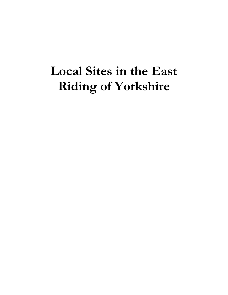# **Local Sites in the East Riding of Yorkshire**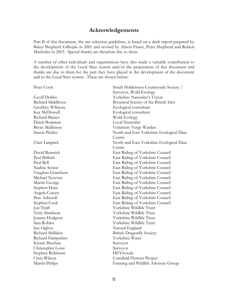# **Acknowledgements**

Part B of this document, the site selection guidelines, is based on a draft report prepared by Baker Shepherd Gillespie in 2001 and revised by Alison Fraser, Peter Shepherd and Robert Masheder in 2003. Special thanks are therefore due to them.

A number of other individuals and organisations have also made a valuable contribution to the development of the Local Sites system and/or the preparation of this document and thanks are due to them for the part they have played in the development of the document and to the Local Sites system. These are shown below:

| Peter Cook            | South Holderness Countryside Society /   |
|-----------------------|------------------------------------------|
|                       | Surveyor, Wold Ecology                   |
| Geoff Dobbs           | Yorkshire Naturalist's Union             |
| Richard Middleton     | Botanical Society of the British Isles   |
| Geoffrey Wilmore      | Ecological consultant                    |
| Kay McDowell          | Ecological consultant                    |
| <b>Richard Baines</b> | Wold Ecology                             |
| Derek Boatman         | Local Naturalist                         |
| Bryan Mallinson       | Voluntary Verge Warden                   |
| Simon Pickles         | North and East Yorkshire Ecological Data |
|                       | Centre                                   |
| Clare Langrick        | North and East Yorkshire Ecological Data |
|                       | Centre                                   |
| David Renwick         | East Riding of Yorkshire Council         |
| Paul Bellotti         | East Riding of Yorkshire Council         |
| Paul Bell             | East Riding of Yorkshire Council         |
| Nadine Senior         | East Riding of Yorkshire Council         |
| Vaughan Grantham      | East Riding of Yorkshire Council         |
| Michael Newton        | East Riding of Yorkshire Council         |
| Martin George         | East Riding of Yorkshire Council         |
| Stephen Hunt          | East Riding of Yorkshire Council         |
| Angela Cowen          | East Riding of Yorkshire Council         |
| Pete Ashcroft         | East Riding of Yorkshire Council         |
| Stephen Cook          | East Riding of Yorkshire Council         |
| Jon Traill            | Yorkshire Wildlife Trust                 |
| Terry Smithson        | Yorkshire Wildlife Trust                 |
| Joanne Hodgson        | Yorkshire Wildlife Trust                 |
| Sara Robins           | Yorkshire Wildlife Trust                 |
| Sue Ogilvie           | Natural England                          |
| Richard Shillaker     | <b>British Dragonfly Society</b>         |
| Richard Hampshire     | Yorkshire Water                          |
| Kieran Sheehan        | Surveyor                                 |
| Christopher Lowe      | Surveyor                                 |
| Stephen Robinson      | HEYwoods                                 |
| Chris Wilson          | Cornfield Flowers Project                |
| Martin Philips        | Farming and Wildlife Advisory Group      |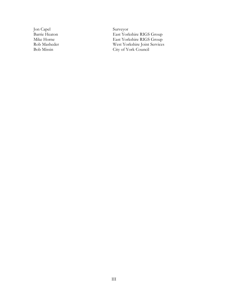Jon Capel Surveyor

Barrie Heaton East Yorkshire RIGS Group<br>Mike Horne East Yorkshire RIGS Group East Yorkshire RIGS Group Rob Masheder West Yorkshire Joint Services Bob Missin City of York Council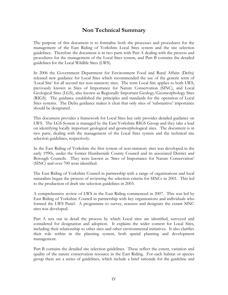# **Non Technical Summary**

The purpose of this document is to formalise both the processes and procedures for the management of the East Riding of Yorkshire Local Sites system and the site selection guidelines. Therefore the document is in two parts with Part A dealing with the process and procedures for the management of the Local Sites system, and Part B contains the detailed guidelines for the Local Wildlife Sites (LWS).

In 2006 the Government Department for Environment Food and Rural Affairs (Defra) released new guidance for Local Sites which recommended the use of the generic term of 'Local Site' for all second tier non-statutory sites. The term Local Site applies to both LWS, previously known as Sites of Importance for Nature Conservation (SINC), and Local Geological Sites (LGS), also known as Regionally Important Geology/Geomorphology Sites (RIGS). The guidance established the principles and standards for the operation of Local Sites systems. The Defra guidance makes it clear that only sites of 'substantive' importance should be designated.

This document provides a framework for Local Sites but only provides detailed guidance on LWS. The LGS System is managed by the East Yorkshire RIGS Group and they take a lead on identifying locally important geological and geomorphological sites. The document is in two parts, dealing with the management of the Local Sites system and the technical site selection guidelines, respectively.

In the East Riding of Yorkshire the first system of non-statutory sites was developed in the early 1990s, under the former Humberside County Council and its associated District and Borough Councils. They were known as 'Sites of Importance for Nature Conservation' (SINC) and over 700 were identified.

The East Riding of Yorkshire Council in partnership with a range of organisations and local naturalists began the process of reviewing the selection criteria for SINCs in 2001. This led to the production of draft site selection guidelines in 2003.

A comprehensive review of LWS in the East Riding commenced in 2007. This was led by East Riding of Yorkshire Council in partnership with key organisations and individuals who formed the LWS Panel. A programme to survey, reassess and designate the extant SINC sites was developed.

Part A sets out in detail the process by which Local sites are identified, surveyed and considered for designation and adoption. It explains the wider context for Local Sites, including their relationship to other sites and other environmental initiatives. It also clarifies their role within in the planning system, both spatial planning and development management.

Part B contains the detailed site selection guidelines. These reflect the extent, variation and quality of the nature conservation resource in the East Riding. For each habitat or species group there are a series of guidelines, which include a brief rationale for the guideline and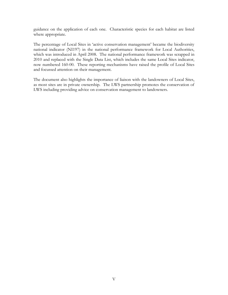guidance on the application of each one. Characteristic species for each habitat are listed where appropriate.

The percentage of Local Sites in 'active conservation management' became the biodiversity national indicator (NI197) in the national performance framework for Local Authorities, which was introduced in April 2008. The national performance framework was scrapped in 2010 and replaced with the Single Data List, which includes the same Local Sites indicator, now numbered 160-00. These reporting mechanisms have raised the profile of Local Sites and focussed attention on their management.

The document also highlights the importance of liaison with the landowners of Local Sites, as most sites are in private ownership. The LWS partnership promotes the conservation of LWS including providing advice on conservation management to landowners.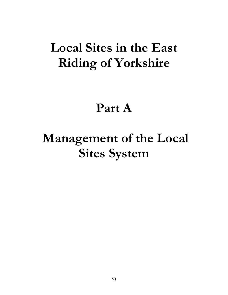# **Local Sites in the East Riding of Yorkshire**

# **Part A**

# **Management of the Local Sites System**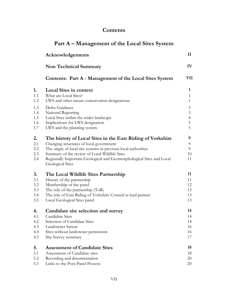# **Contents**

|            | Part A – Management of the Local Sites System                                            |                |  |
|------------|------------------------------------------------------------------------------------------|----------------|--|
|            | Acknowledgements                                                                         | $\mathbf{I}$   |  |
|            | <b>Non Technical Summary</b>                                                             | IV             |  |
|            | Contents: Part A - Management of the Local Sites System                                  | VII            |  |
| 1.         | <b>Local Sites in context</b>                                                            | $\mathbf{1}$   |  |
| 1.1        | What are Local Sites?                                                                    | $\mathbf{1}$   |  |
| 1.2        | LWS and other nature conservation designations                                           | $\mathbf{1}$   |  |
| 1.3        | Defra Guidance                                                                           | $\mathfrak{Z}$ |  |
| 1.4        | National Reporting                                                                       | $\mathfrak{Z}$ |  |
| 1.5        | Local Sites within the wider landscape                                                   | $\overline{4}$ |  |
| 1.6<br>1.7 | Implications for LWS designation<br>LWS and the planning system                          | 5<br>5         |  |
| 2.         | The history of Local Sites in the East Riding of Yorkshire                               | 9              |  |
| 2.1        | Changing structures of local government                                                  | 9              |  |
| 2.2        | The origin of local site systems in previous local authorities                           | 9              |  |
| 2.3        | Summary of the review of Local Wildlife Sites                                            | 10             |  |
| 2.4        | Regionally Important Geological and Geomorphological Sites and Local<br>Geological Sites | 11             |  |
| 3.         | The Local Wildlife Sites Partnership                                                     | 11             |  |
| 3.1        | History of the partnership                                                               | 11             |  |
| 3.2        | Membership of the panel                                                                  | 12             |  |
| 3.3        | The role of the partnership (ToR)                                                        | 13             |  |
| 3.4        | The role of East Riding of Yorkshire Council as lead partner                             | 13             |  |
| 3.5        | Local Geological Sites panel                                                             | 13             |  |
| 4.         | Candidate site selection and survey                                                      | 14             |  |
| 4.1        | <b>Candidate Sites</b>                                                                   | 14             |  |
| 4.2        | Selection of Candidate Sites                                                             | 14             |  |
| 4.3<br>4.4 | Landowner liaison<br>Sites without landowner permission                                  | 16<br>16       |  |
| 4.5        | Site Survey summary                                                                      | 17             |  |
| 5.         | <b>Assessment of Candidate Sites</b>                                                     | 18             |  |
| 5.1        | Assessment of Candidate sites                                                            | 18             |  |
| 5.2        | Recording and documentation                                                              | 20             |  |
| 5.3        | Links to the Post-Panel Process                                                          | 20             |  |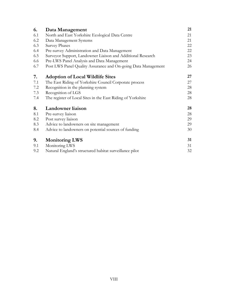| 6.  | Data Management                                               | 21 |
|-----|---------------------------------------------------------------|----|
| 6.1 | North and East Yorkshire Ecological Data Centre               | 21 |
| 6.2 | Data Management Systems                                       | 21 |
| 6.3 | <b>Survey Phases</b>                                          | 22 |
| 6.4 | Pre-survey Administration and Data Management                 | 22 |
| 6.5 | Surveyor Support, Landowner Liaison and Additional Research   | 23 |
| 6.6 | Pre-LWS Panel Analysis and Data Management                    | 24 |
| 6.7 | Post LWS Panel Quality Assurance and On-going Data Management | 26 |
| 7.  | <b>Adoption of Local Wildlife Sites</b>                       | 27 |
| 7.1 | The East Riding of Yorkshire Council Corporate process        | 27 |
| 7.2 | Recognition in the planning system                            | 28 |
| 7.3 | Recognition of LGS                                            | 28 |
| 7.4 | The register of Local Sites in the East Riding of Yorkshire   | 28 |
| 8.  | Landowner liaison                                             | 28 |
| 8.1 | Pre-survey liaison                                            | 28 |
| 8.2 | Post survey liaison                                           | 29 |
| 8.3 | Advice to landowners on site management                       | 29 |
| 8.4 | Advice to landowners on potential sources of funding          | 30 |
| 9.  | <b>Monitoring LWS</b>                                         | 31 |
| 9.1 | Monitoring LWS                                                | 31 |
| 9.2 | Natural England's structured habitat surveillance pilot       | 32 |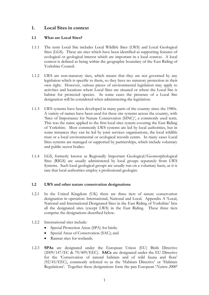### **1. Local Sites in context**

#### **1.1 What are Local Sites?**

- 1.1.1 The term Local Site includes Local Wildlife Sites (LWS) and Local Geological Sites (LGS). These are sites which have been identified as supporting features of ecological or geological interest which are important in a local context. A local context is defined as being within the geographic boundary of the East Riding of Yorkshire Council.
- 1.1.2 LWS are non-statutory sites, which means that they are not governed by any legislation which is specific to them, so they have no statutory protection in their own right. However, various pieces of environmental legislation may apply to activities and locations where Local Sites are situated or where the Local Site is habitat for protected species. In some cases the presence of a Local Site designation will be considered when administering the legislation.
- 1.1.3 LWS systems have been developed in many parts of the country since the 1980s. A variety of names have been used for these site systems across the country, with 'Sites of Importance for Nature Conservation (SINC)', a commonly used term. This was the name applied to the first local sites system covering the East Riding of Yorkshire. Most commonly LWS systems are led by local authorities, but in some instances they can be led by joint services organisations, the local wildlife trust or a local environmental or ecological records centre. In many cases Local Sites systems are managed or supported by partnerships, which include voluntary and public sector bodies.
- 1.1.4 LGS, formerly known as Regionally Important Geological/Geomorphological Sites (RIGS) are usually administered by local groups separately from LWS Systems. Such local geological groups are usually run on a voluntary basis, as it is rare that local authorities employ a professional geologist.

#### **1.2 LWS and other nature conservation designations**

- 1.2.1 In the United Kingdom (UK) there are three tiers of nature conservation designation in operation: International, National and Local. Appendix A 'Local, National and International Designated Sites in the East Riding of Yorkshire' lists all the designated sites (except LWS) in the East Riding. These three tiers comprise the designations described below.
- 1.2.2 International sites include:
	- Special Protection Areas (SPA) for birds;
	- Special Areas of Conservation (SAC); and
	- Ramsar sites for wetlands.
- 1.2.3 **SPAs** are designated under the European Union (EU) Birds Directive (2009/147/EC & 79/409/EEC). **SACs** are designated under the EU Directive for the 'Conservation of natural habitats and of wild fauna and flora' (92/43/EEC), commonly referred to as the 'Habitats Directive' or 'Habitats Regulations'. Together these designations form the pan European '*Natura 2000*'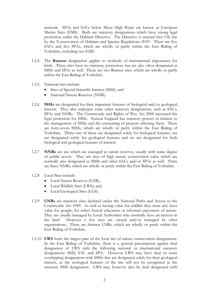network. SPAs and SACs below Mean High Water are known as European Marine Sites (EMS). Both are statutory designations which have strong legal protection under the Habitats Directive. The Directive is enacted into UK law by the 'Conservation of Habitats and Species Regulations 2010'. There are five SACs and five SPAs, which are wholly or partly within the East Riding of Yorkshire, including two EMS.

- 1.2.4 The **Ramsar** designation applies to wetlands of international importance for birds. These sites have no statutory protection, but are also often designated as SSSIs and SPAs as well. There are two Ramsar sites, which are wholly or partly within the East Riding of Yorkshire.
- 1.2.5 National sites include:
	- Sites of Special Scientific Interest (SSSI); and
	- National Nature Reserves (NNR).
- 1.2.6 **SSSIs** are designated for their important features of biological and/or geological interest. They also underpin some other statutory designations, such as SACs, SPAs and NNRs. The Countryside and Rights of Way Act 2000 increased the legal protection for SSSIs. Natural England has statutory powers in relation to the management of SSSIs and the consenting of projects affecting them. There are forty-seven SSSIs, which are wholly or partly within the East Riding of Yorkshire. Thirty-one of these are designated solely for biological features, ten are designated solely for geological features and six are designated for both biological and geological features of interest.
- 1.2.7 **NNRs** are site which are managed as nature reserves, usually with some degree of public access. They are sites of high nature conservation value which are normally also designated as SSSIs and often SACs and/or SPAs as well. There are three NNRs, which are wholly or partly within the East Riding of Yorkshire.
- 1.2.8 Local Sites include:
	- Local Nature Reserves (LNR);
	- Local Wildlife Sites (LWS); and
	- Local Geological Sites (LGS).
- 1.2.9 **LNRs** are statutory sites declared under the National Parks and Access to the Countryside Act 1949. As well as having value for wildlife they must also have value for people, for either formal education or informal enjoyment of nature. They are usually managed by Local Authorities who normally have an interest in the land. However a few sites are owned and/or managed by other organisations. There are thirteen LNRs, which are wholly or partly within the East Riding of Yorkshire.
- 1.2.10 **LWS** form the largest part of the local tier of nature conservation designations. In the East Riding of Yorkshire, there is a general presumption against dual designation of LWS with the following national or international statutory designations: SSSI, SAC and SPA. However LWS may have dual or some overlapping designations with SSSIs that are designated solely for their geological interest, as the ecological features of the site will not be recognised in the statutory SSSI designation. LWS may however also be dual designated with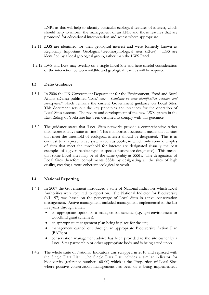LNRs as this will help to identify particular ecological features of interest, which should help to inform the management of an LNR and those features that are promoted for educational interpretation and access where appropriate.

- 1.2.11 **LGS** are identified for their geological interest and were formerly known as Regionally Important Geological/Geomorphological sites (RIGs). LGS are identified by a local geological group, rather than the LWS Panel.
- 1.2.12 LWS and LGS may overlap on a single Local Site and here careful consideration of the interaction between wildlife and geological features will be required.

#### **1.3 Defra Guidance**

- 1.3.1 In 2006 the UK Government Department for the Environment, Food and Rural Affairs (Defra) published '*Local Sites – Guidance on their identification, selection and management'* which remains the current Government guidance on Local Sites. This document sets out the key principles and practices for the operation of Local Sites systems. The review and development of the new LWS system in the East Riding of Yorkshire has been designed to comply with this guidance.
- 1.3.2 The guidance states that 'Local Sites networks provide a comprehensive rather than representative suite of sites'. This is important because it means that all sites that meet the threshold of ecological interest should be designated. This is in contrast to a representative system such as SSSIs, in which only some examples of sites that meet the threshold for interest are designated (usually the best examples of a given habitat type or species feature are designated). This means that some Local Sites may be of the same quality as SSSIs. The designation of Local Sites therefore complements SSSIs by designating all the sites of high quality, creating a more coherent ecological network.

#### **1.4 National Reporting**

- 1.4.1 In 2007 the Government introduced a suite of National Indicators which Local Authorities were required to report on. The National Indictor for Biodiversity (NI 197) was based on the percentage of Local Sites in active conservation management. Active management included management implemented in the last five years through either:
	- an appropriate option in a management scheme (e.g. agri-environment or woodland grant schemes);
	- an appropriate management plan being in place for the site;
	- management carried out through an appropriate Biodiversity Action Plan (BAP); or
	- conservation management advice has been provided to the site owner by a Local Sites partnership or other appropriate body and is being acted upon.
- 1.4.2 The whole suite of National Indicators was scrapped in 2010 and replaced with the Single Data List. The Single Data List includes a similar indicator for biodiversity (reference number 160-00) which is the 'Proportion of Local Sites where positive conservation management has been or is being implemented'.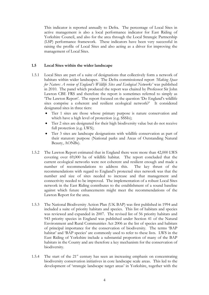This indicator is reported annually to Defra. The percentage of Local Sites in active management is also a local performance indicator for East Riding of Yorkshire Council, and also for the area through the Local Strategic Partnership (LSP) performance framework. These indicators have been very successful in raising the profile of Local Sites and also acting as a driver for improving the management of Local Sites.

#### **1.5 Local Sites within the wider landscape**

- 1.5.1 Local Sites are part of a suite of designations that collectively form a network of habitats within wider landscapes. The Defra commissioned report *'Making Space for Nature: A review of England's Wildlife Sites and Ecological Networks'* was published in 2010. The panel which produced the report was chaired by Professor Sir John Lawton CBE FRS and therefore the report is sometimes referred to simply as 'The Lawton Report'. The report focused on the question 'Do England's wildlife sites comprise a coherent and resilient ecological network?' It considered designated sites in three tiers:
	- Tier 1 sites are those whose primary purpose is nature conservation and which have a high level of protection (e.g. SSSIs);
	- Tier 2 sites are designated for their high biodiversity value but do not receive full protection (e.g. LWS);
	- Tier 3 sites are landscape designations with wildlife conservation as part of their statutory purpose (National parks and Areas of Outstanding Natural Beauty, AONBs).
- 1.5.2 The Lawton Report estimated that in England there were more than 42,000 LWS covering over 69,000 ha of wildlife habitat. The report concluded that the current ecological networks were not coherent and resilient enough and made a number of recommendations to address this. The key thrust of the recommendations with regard to England's protected sites network was that the number and size of sites needed to increase and that management and connectivity needed to be improved. The implementation of a robust Local Sites network in the East Riding contributes to the establishment of a sound baseline against which future enhancements might meet the recommendations of the Lawton Report for the area.
- 1.5.3 The National Biodiversity Action Plan (UK BAP) was first published in 1994 and included a suite of priority habitats and species. This list of habitats and species was reviewed and expanded in 2007. The revised list of 56 priority habitats and 943 priority species in England was published under Section 41 of the Natural Environment and Rural Communities Act 2006 as the list of species and habitats of principal importance for the conservation of biodiversity. The terms 'BAP habitat' and 'BAP species' are commonly used to refer to these lists. LWS in the East Riding of Yorkshire include a substantial proportion of many of the BAP habitats in the County and are therefore a key mechanism for the conservation of biodiversity.
- 1.5.4 The start of the  $21<sup>st</sup>$  century has seen an increasing emphasis on concentrating biodiversity conservation initiatives in core landscape scale areas. This led to the development of 'strategic landscape target areas' in Yorkshire, together with the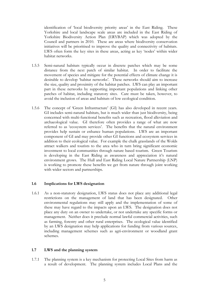identification of 'local biodiversity priority areas' in the East Riding. These Yorkshire and local landscape scale areas are included in the East Riding of Yorkshire Biodiversity Action Plan (ERYBAP) which was adopted by the Council and partners in 2010. These are areas where biodiversity conservation initiatives will be prioritised to improve the quality and connectivity of habitats. LWS often form the key sites in these areas, acting as key 'nodes' within wider habitat networks.

- 1.5.5 Semi-natural habitats typically occur in discrete patches which may be some distance from the next patch of similar habitat. In order to facilitate the movement of species and mitigate for the potential effects of climate change it is desirable to develop 'habitat networks'. These networks should aim to increase the size, quality and proximity of the habitat patches. LWS can play an important part in these networks by supporting important populations and linking other patches of habitat, including statutory sites. Care must be taken, however, to avoid the inclusion of areas and habitats of low ecological condition.
- 1.5.6 The concept of 'Green Infrastructure' (GI) has also developed in recent years. GI includes semi-natural habitats, but is much wider than just biodiversity, being concerned with multi-functional benefits such as recreation, flood alleviation and archaeological value. GI therefore often provides a range of what are now referred to as 'ecosystem services'. The benefits that the natural environment provides help sustain or enhance human populations. LWS are an important component of GI and may provide other GI functions and ecosystem services in addition to their ecological value. For example the chalk grasslands of the Wolds attract walkers and tourists to the area who in turn bring significant economic investment to local communities through nature based tourism. Green Tourism is developing in the East Riding as awareness and appreciation it's natural environment grows. The Hull and East Riding Local Nature Partnership (LNP) is working to promote these benefits we get from nature through joint working with wider sectors and partnerships.

#### **1.6 Implications for LWS designation**

1.6.1 As a non-statutory designation, LWS status does not place any additional legal restrictions on the management of land that has been designated. Other environmental regulations may still apply and the implementation of some of these may have regard to the impacts upon an LWS. The designation does not place any duty on an owner to undertake, or not undertake any specific forms or management. Neither does it preclude normal lawful commercial activities, such as farming, forestry and other rural enterprises. The ecological value identified by an LWS designation may help applications for funding from various sources, including management schemes such as agri-environment or woodland grant schemes.

#### **1.7 LWS and the planning system**

1.7.1 The planning system is a key mechanism for protecting Local Sites from harm as a result of development. The planning system includes Local Plans and the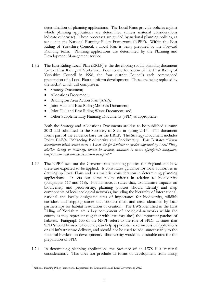determination of planning applications. The Local Plans provide policies against which planning applications are determined (unless material considerations indicate otherwise). These processes are guided by national planning policies, as set out in the National Planning Policy Framework (NPPF). Within the East Riding of Yorkshire Council, a Local Plan is being prepared by the Forward Planning team. Planning applications are determined by the Planning and Development Management service.

- 1.7.2 The East Riding Local Plan (ERLP) is the developing spatial planning document for the East Riding of Yorkshire. Prior to the formation of the East Riding of Yorkshire Council in 1996, the four district Councils each commenced preparation of a Local Plan to inform development. These are being replaced by the ERLP, which will comprise a:
	- Strategy Document;
	- Allocations Document;
	- Bridlington Area Action Plan (AAP);
	- Joint Hull and East Riding Minerals Document;
	- Ioint Hull and East Riding Waste Document: and
	- Other Supplementary Planning Documents (SPD) as appropriate.

Both the Strategy and Allocations Documents are due to be published autumn 2013 and submitted to the Secretary of State in spring 2014. This document forms part of the evidence base for the ERLP. The Strategy Document includes Policy ENV4: Enhancing Biodiversity and Geodiversity. Part B states "*Where development which would harm a Local site (or habitats or species supported by Local Sites), whether directly or indirectly, cannot be avoided, measures to secure appropriate mitigation, compensation and enhancement must be agreed."*

- 1.7.3 The NPPF<sup>1</sup> sets out the Government's planning policies for England and how these are expected to be applied. It constitutes guidance for local authorities in drawing up Local Plans and is a material consideration in determining planning applications. It sets out some policy criteria in relation to biodiversity (paragraphs 117 and 118). For instance, it states that, to minimise impacts on biodiversity and geodiversity, planning policies should identify and map components of local ecological networks, including the hierarchy of international, national and locally designated sites of importance for biodiversity, wildlife corridors and stepping stones that connect them and areas identified by local partnerships for habitat restoration or creation. The LWS identified in the East Riding of Yorkshire are a key component of ecological networks within the county as they represent (together with statutory sites) the important patches of habitats. Paragraph 153 of the NPPF refers to the role of SPD. It states that SPD 'should be used where they can help applicants make successful applications or aid infrastructure delivery, and should not be used to add unnecessarily to the financial burdens on development'. Biodiversity would be a suitable area for the preparation of SPD.
- 1.7.4 In determining planning applications the presence of an LWS is a 'material consideration'. This does not preclude all forms of development from taking

<u>.</u>

<sup>1</sup> National Planning Policy Framework. Department for Communities and Local Government, 2012.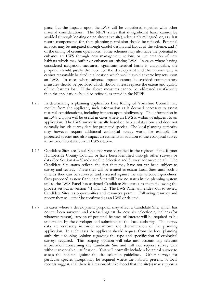place, but the impacts upon the LWS will be considered together with other material considerations. The NPPF states that if significant harm cannot be avoided (through locating on an alternative site), adequately mitigated, or, as a last resort, compensated for, then planning permission should be refused. Potential impacts may be mitigated through careful design and layout of the scheme, and / or the timing of certain operations. Some schemes may also have the potential to enhance an LWS through new management actions or the creation of new habitats which may buffer or enhance an existing LWS. In cases where having considered mitigation measures, significant residual harm is unavoidable, the proposal should justify the need for the development and the reasons why it cannot reasonably be sited in a location which would avoid adverse impacts upon an LWS. In cases where adverse impacts cannot be avoided compensatory measures should be provided which should at least replace the extent and quality of the features lost. If the above measures cannot be addressed satisfactorily then the application should be refused, as stated in the NPPF.

- 1.7.5 In determining a planning application East Riding of Yorkshire Council may require from the applicant, such information as is deemed necessary to assess material considerations, including impacts upon biodiversity. The information in an LWS citation will be useful in cases where an LWS is within or adjacent to an application. The LWS survey is usually based on habitat data alone and does not normally include survey data for protected species. The local planning authority may however require additional ecological survey work, for example for protected species and also impact assessments in addition to the ecological survey information contained in an LWS citation.
- 1.7.6 Candidate Sites are Local Sites that were identified in the register of the former Humberside County Council, or have been identified through other surveys or data (See Section 4 – 'Candidate Site Selection and Survey' for more detail). The Candidate Site status reflects the fact that they have not yet been subject to survey and review. These sites will be treated as extant Local Sites until such a time as they can be surveyed and assessed against the site selection guidelines. Sites proposed as new Candidate Sites will have no status in the planning system unless the LWS Panel has assigned Candidate Site status to them following the process set out in section 4.1 and 4.2. The LWS Panel will endeavour to review Candidate Sites, as opportunities and resources permit. Following resurvey and review they will either be confirmed as an LWS or deleted.
- 1.7.7 In cases where a development proposal may affect a Candidate Site, which has not yet been surveyed and assessed against the new site selection guidelines (for whatever reason), surveys of potential features of interest will be required to be undertaken by the developer and submitted to the local authority. The survey data are necessary in order to inform the determination of the planning application. In such cases the applicant should request from the local planning authority a scoping opinion regarding the type and specification of ecological surveys required. This scoping opinion will take into account any relevant information concerning the Candidate Site and will not request survey data without reasonable justification. This will normally include a botanical survey to assess the habitats against the site selection guidelines. Other surveys for particular species groups may be required where the habitats present, or local records suggest, that there is a reasonable likelihood that the site(s) may support a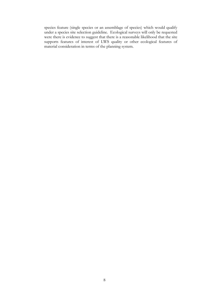species feature (single species or an assemblage of species) which would qualify under a species site selection guideline. Ecological surveys will only be requested were there is evidence to suggest that there is a reasonable likelihood that the site supports features of interest of LWS quality or other ecological features of material consideration in terms of the planning system.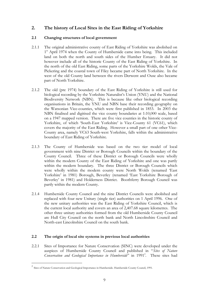# **2. The history of Local Sites in the East Riding of Yorkshire**

#### **2.1 Changing structures of local government**

- 2.1.1 The original administrative county of East Riding of Yorkshire was abolished on 1<sup>st</sup> April 1974 when the County of Humberside came into being. This included land on both the north and south sides of the Humber Estuary. It did not however include all of the historic County of the East Riding of Yorkshire. In the north of the old East Riding, some parts of the Yorkshire Wolds, the Vale of Pickering and the coastal town of Filey became part of North Yorkshire. In the west of the old County land between the rivers Derwent and Ouse also became part of North Yorkshire.
- 2.1.2 The old (pre 1974) boundary of the East Riding of Yorkshire is still used for biological recording by the Yorkshire Naturalist's Union (YNU) and the National Biodiversity Network (NBN). This is because like other biological recording organisations in Britain, the YNU and NBN base their recording geography on the Watsonian Vice-counties, which were first published in 1853. In 2003 the NBN finalised and digitised the vice county boundaries at 1:10,000 scale, based on a 1947 mapped version. There are five vice counties in the historic county of Yorkshire, of which 'South-East Yorkshire' is Vice-County 61 (VC61), which covers the majority of the East Riding. However a small part of one other Vice-County area, namely VC63 South-west Yorkshire, falls within the administrative boundary of East Riding of Yorkshire.
- 2.1.3 The County of Humberside was based on the two tier model of local government with nine District or Borough Councils within the boundary of the County Council. Three of these District or Borough Councils were wholly within the modern County of the East Riding of Yorkshire and one was partly within the modern boundary. The three District or Borough Councils which were wholly within the modern county were North Wolds (renamed 'East Yorkshire' in 1981) Borough, Beverley (renamed 'East Yorkshire Borough of Beverley' in 1981) and Holderness District. Boothferry Borough Council was partly within the modern County.
- 2.1.4 Humberside County Council and the nine District Councils were abolished and replaced with four new Unitary (single tier) authorities on 1 April 1996. One of the new unitary authorities was the East Riding of Yorkshire Council, which is the current local authority and covers an area of 2,407.68 square kilometres. The other three unitary authorities formed from the old Humberside County Council are Hull City Council on the north bank and North Lincolnshire Council and North-east Lincolnshire Council on the south bank.

#### **2.2 The origin of local site systems in previous local authorities**

2.2.1 Sites of Importance for Nature Conservation (SINC) were developed under the auspices of Humberside County Council and published in "*Sites of Nature*  Conservation and Geological Importance in Humberside" in 1991<sup>2</sup>. These sites had

<u>.</u>

<sup>&</sup>lt;sup>2</sup> Sites of Nature Conservation and Geological Importance in Humberside. Humberside County Council, 1991.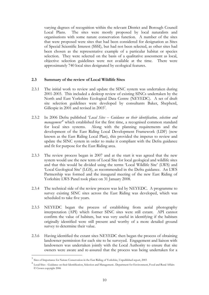varying degrees of recognition within the relevant District and Borough Council Local Plans. The sites were mostly proposed by local naturalists and organisations with some nature conservation function. A number of the sites that were proposed were sites that had been considered for designation as Sites of Special Scientific Interest (SSSI), but had not been selected, as other sites had been chosen as the representative example of a particular habitat or species selection. They were selected on the basis of a qualitative assessment as local, objective selection guidelines were not available at the time. There were approximately 740 local sites designated by ecological features.

#### **2.3 Summary of the review of Local Wildlife Sites**

- 2.3.1 The initial work to review and update the SINC system was undertaken during 2001-2003. This included a desktop review of existing SINCs undertaken by the North and East Yorkshire Ecological Data Centre (NEYEDC). A set of draft site selection guidelines were developed by consultants Baker, Shepherd, Gillespie in 2001 and revised in 2003<sup>3</sup>.
- 2.3.2 In 2006 Defra published '*Local Sites – Guidance on their identification, selection and management'<sup>4</sup>* which established for the first time, a recognised common standard for local sites systems. Along with the planning requirements and the development of the East Riding Local Development Framework (LDF) (now known as the East Riding Local Plan), this provided the impetus to review and update the SINC system in order to make it compliant with the Defra guidance and fit for purpose for the East Riding area.
- 2.3.3 The review process began in 2007 and at the start it was agreed that the new system would use the new term of Local Site for local geological and wildlife sites and that this would be divided using the terms 'Local Wildlife Site' (LWS) and 'Local Geological Site' (LGS), as recommended in the Defra guidance. An LWS Partnership was formed and the inaugural meeting of the new East Riding of Yorkshire LWS Panel took place on 31 January 2008.
- 2.3.4 The technical side of the review process was led by NEYEDC. A programme to survey existing SINC sites across the East Riding was developed, which was scheduled to take five years.
- 2.3.5 NEYEDC began the process of establishing from aerial photography interpretation (API) which former SINC sites were still extant. API cannot confirm the value of habitats, but was very useful in identifying if the habitats originally identified were still present and worthy of a more detailed ground survey to determine their value.
- 2.3.6 Having identified the extant sites NEYEDC then began the process of obtaining landowner permission for each site to be surveyed. Engagement and liaison with landowners was undertaken jointly with the Local Authority to ensure that site owners were aware and re-assured that the process was being undertaken for a

1

<sup>3</sup> Sites of Importance for Nature Conservation in the East Riding of Yorkshire, Unpublished report, 2003

<sup>4</sup> Local Sites - Guidance on their Identification, Selection and Management.. Department for Environment, Food and Rural Affairs © Crown copyright 2006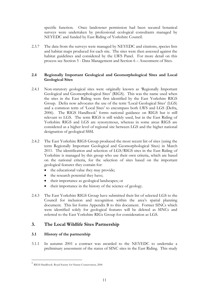specific function. Once landowner permission had been secured botanical surveys were undertaken by professional ecological consultants managed by NEYEDC and funded by East Riding of Yorkshire Council.

2.3.7 The data from the surveys were managed by NEYEDC and citations, species lists and habitat maps produced for each site. The sites were then assessed against the habitat guidelines and considered by the LWS Panel. For more detail on this process see Section 5 - Data Management and Section 6 – Assessment of Sites.

#### **2.4 Regionally Important Geological and Geomorphological Sites and Local Geological Sites**

- 2.4.1 Non-statutory geological sites were originally known as 'Regionally Important Geological and Geomorphological Sites' (RIGS). This was the name used when the sites in the East Riding were first identified by the East Yorkshire RIGS Group. Defra now advocates the use of the term 'Local Geological Sites' (LGS) and a common term of 'Local Sites' to encompass both LWS and LGS (Defra, 2006). The RIGS Handbook<sup>5</sup> forms national guidance on RIGS but is still relevant to LGS. The term RIGS is still widely used, but in the East Riding of Yorkshire RIGS and LGS are synonymous, whereas in some areas RIGS are considered as a higher level of regional site between LGS and the higher national designation of geological SSSI.
- 2.4.2 The East Yorkshire RIGS Group produced the most recent list of sites (using the term Regionally Important Geological and Geomorphological Sites) in March 2011. The identification and selection of LGS/RIGS sites in the East Riding of Yorkshire is managed by this group who use their own criteria, which are based on the national criteria, for the selection of sites based on the important geological features they contain for:
	- the educational value they may provide;
	- the research potential they have;
	- their importance as geological landscapes; or
	- their importance in the history of the science of geology.
- 2.4.3 The East Yorkshire RIGS Group have submitted their list of selected LGS to the Council for inclusion and recognition within the area's spatial planning document. This list forms Appendix B to this document. Former SINCs which were identified solely for geological features will be deleted as SINCs and referred to the East Yorkshire RIGs Group for consideration as LGS.

### **3. The Local Wildlife Sites Partnership**

#### **3.1 History of the partnership**

<u>.</u>

3.1.1 In autumn 2001 a contract was awarded to the NEYEDC to undertake a preliminary assessment of the status of SINC sites in the East Riding. This study

<sup>5</sup> RIGS Handbook. Royal Society for Nature Conservation, 2006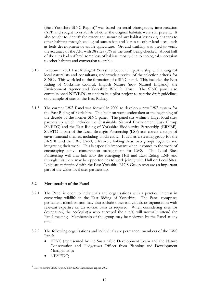(East Yorkshire SINC Report)<sup>6</sup> was based on aerial photography interpretation (API) and sought to establish whether the original habitats were still present. It also sought to identify the extent and nature of any habitat losses e.g. changes to other habitats through ecological succession and losses to other land uses, such as built development or arable agriculture. Ground-truthing was used to verify the accuracy of the API with 38 sites (5% of the total) being checked. About half of the sites had suffered some loss of habitat, mostly due to ecological succession to other habitats and conversion to arable.

- 3.1.2 In autumn 2001 East Riding of Yorkshire Council, in partnership with a range of local naturalists and consultants, undertook a review of the selection criteria for SINCs. This work led to the formation of a SINC panel. This included the East Riding of Yorkshire Council, English Nature (now Natural England), the Environment Agency and Yorkshire Wildlife Trust. The SINC panel also commissioned NEYEDC to undertake a pilot project to test the draft guidelines on a sample of sites in the East Riding.
- 3.1.3 The current LWS Panel was formed in 2007 to develop a new LWS system for the East Riding of Yorkshire. This built on work undertaken at the beginning of the decade by the former SINC panel. The panel sits within a larger local sites partnership which includes the Sustainable Natural Environment Task Group (SNETG) and the East Riding of Yorkshire Biodiversity Partnership (ERYBP). SNETG is part of the Local Strategic Partnership (LSP) and covers a range of environmental themes, including biodiversity. It acts as a steering group for the ERYBP and the LWS Panel, effectively linking these two groups together and integrating their work. This is especially important when it comes to the work of encouraging active conservation management for LWS. The Local Sites Partnership will also link into the emerging Hull and East Riding LNP and through this there may be opportunities to work jointly with Hull on Local Sites. Links are maintained with the East Yorkshire RIGS Group who are an important part of the wider local sites partnership.

#### **3.2 Membership of the Panel**

- 3.2.1 The Panel is open to individuals and organisations with a practical interest in conserving wildlife in the East Riding of Yorkshire. The Panel comprises permanent members and may also include other individuals or organisation with relevant expertise on an ad-hoc basis as required. When considering sites for designation, the ecologist(s) who surveyed the site(s) will normally attend the Panel meeting. Membership of the group may be reviewed by the Panel at any time.
- 3.2.2 The following organisations and individuals are permanent members of the LWS Panel:
	- ERYC (represented by the Sustainable Development Team and the Nature Conservation and Hedgerows Officer from Planning and Development Management);
	- NEYEDC;

<u>.</u>

<sup>6</sup> East Yorkshire SINC Report.. NEYEDC Unpublished report, 2002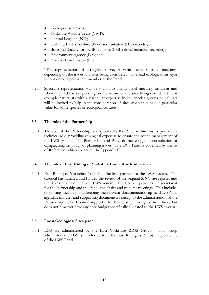- Ecological surveyors\*;
- Yorkshire Wildlife Trust (YWT);
- Natural England (NE);
- Hull and East Yorkshire Woodland Initiative (HEYwoods);
- Botanical Society for the British Isles (BSBI) (local botanical recorder);
- Environment Agency (EA); and
- Forestry Commission (FC).

\*The representation of ecological surveyors varies between panel meetings, depending on the issues and sites being considered. The lead ecological surveyor is considered a permanent member of the Panel.

3.2.3 Specialist representation will be sought to attend panel meetings on an as and when required basis depending on the nature of the sites being considered. For example naturalists with a particular expertise in key species groups or habitats will be invited to help in the consideration of sites when they have a particular value for some species or ecological features.

#### **3.3 The role of the Partnership**

3.3.1 The role of the Partnership, and specifically the Panel within this, is primarily a technical role, providing ecological expertise to ensure the sound management of the LWS system. The Partnership and Panel do not engage in consultation or campaigning on policy or planning issues. The LWS Panel is governed by Terms of Reference, which are set out in Appendix C.

#### **3.4 The role of East Riding of Yorkshire Council as lead partner**

3.4.1 East Riding of Yorkshire Council is the lead partner for the LWS system. The Council has initiated and funded the review of the original SINC site register and the development of the new LWS system. The Council provides the secretariat for the Partnership and the Panel and chairs and minutes meetings. This includes organising meetings and keeping the relevant documentation up to date (Panel agendas, minutes and supporting documents) relating to the administration of the Partnership. The Council supports the Partnership through officer time, but does not however have any core budget specifically allocated to the LWS system.

#### **3.5 Local Geological Sites panel**

3.5.1 LGS are administered by the East Yorkshire RIGS Group. This group administers the LGS (still referred to in the East Riding as RIGS) independently of the LWS Panel.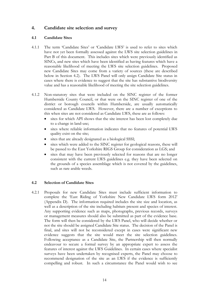### **4. Candidate site selection and survey**

#### **4.1 Candidate Sites**

- 4.1.1 The term 'Candidate Sites' or 'Candidate LWS' is used to refer to sites which have not yet been formally assessed against the LWS site selection guidelines in Part B of this document. This includes sites which were previously identified as SINCs, and new sites which have been identified as having features which have a reasonable likelihood of meeting the LWS site selection guidelines. Proposed new Candidate Sites may come from a variety of sources (these are described below in Section 4.2). The LWS Panel will only assign Candidate Site status in cases where there is evidence to suggest that the site has substantive biodiversity value and has a reasonable likelihood of meeting the site selection guidelines.
- 4.1.2 Non-statutory sites that were included on the SINC register of the former Humberside County Council, or that were on the SINC register of one of the district or borough councils within Humberside, are usually automatically considered as Candidate LWS. However, there are a number of exceptions to this when sites are not considered as Candidate LWS, these are as follows:
	- sites for which API shows that the site interest has been lost completely due to a change in land-use;
	- sites where reliable information indicates that no features of potential LWS quality exist on the site;
	- sites that are already designated as a biological SSSI;
	- sites which were added to the SINC register for geological reasons, these will be passed to the East Yorkshire RIGS Group for consideration as LGS; and
	- sites that may have been previously selected for reasons that are no longer consistent with the current LWS guidelines e.g. they have been selected on the grounds of a species assemblage which is not covered by the guidelines, such as rare arable weeds.

#### **4.2 Selection of Candidate Sites**

4.2.1 Proposals for new Candidate Sites must include sufficient information to complete the 'East Riding of Yorkshire New Candidate LWS form 2012' (Appendix D). The information required includes the site size and location, as well as a description of the site including habitats present and species of interest. Any supporting evidence such as maps, photographs, previous records, surveys or management measures should also be submitted as part of the evidence base. The form will then be considered by the LWS Panel, who will decide whether or not the site should be assigned Candidate Site status. The decision of the Panel is final, and sites will not be reconsidered except in cases were significant new evidence suggests that the site would meet the site selection guidelines. Following acceptance as a Candidate Site, the Partnership will then normally endeavour to secure a formal survey by an appropriate expert to assess the features of interest against the LWS Guidelines. In certain cases where specialist surveys have been undertaken by recognised experts, the Panel may choose to recommend designation of the site as an LWS if the evidence is sufficiently compelling and robust. In such a circumstance the Panel would wish to see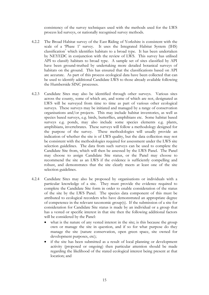consistency of the survey techniques used with the methods used for the LWS process led surveys, or nationally recognised survey methods.

- 4.2.2 The Broad Habitat survey of the East Riding of Yorkshire is consistent with the scale of a 'Phase 1' survey. It uses the Integrated Habitat System (IHS)  $classification<sup>7</sup>$  which identifies habitats to a broad type. It has been undertaken by NEYEDC in conjunction with the review of LWS. This survey has utilised API to classify habitats to broad type. A sample set of sites classified by API have been ground-truthed by undertaking more detailed botanical surveys of habitats on the ground. This has ensured that the classifications based on API are accurate. As part of this process ecological data have been collected that can be used to identify additional Candidate LWS to those already available following the Humberside SINC processes.
- 4.2.3 Candidate Sites may also be identified through other surveys. Various sites across the county, some of which are, and some of which are not, designated as LWS will be surveyed from time to time as part of various other ecological surveys. These surveys may be initiated and managed by a range of conservation organisations and/or projects. This may include habitat inventories, as well as species based surveys, e.g. birds, butterflies, amphibians etc. Some habitat based surveys e.g. ponds, may also include some species elements e.g. plants, amphibians, invertebrates. These surveys will follow a methodology designed for the purpose of the survey. These methodologies will usually provide an indication of whether the site is of LWS quality, but the data collection may not be consistent with the methodologies required for assessment under the LWS site selection guidelines. The data from such surveys can be used to complete the Candidate Site from, which will then be assessed by the LWS Panel. The Panel may choose to assign Candidate Site status, or the Panel may choose to recommend the site as an LWS if the evidence is sufficiently compelling and robust, and demonstrates that the site clearly meets at least one of the site selection guidelines.
- 4.2.4 Candidate Sites may also be proposed by organisations or individuals with a particular knowledge of a site. They must provide the evidence required to complete the Candidate Site form in order to enable consideration of the status of the site by the LWS Panel. The species data component of this must be attributed to ecological recorders who have demonstrated an appropriate degree of competence in the relevant taxonomic group(s). If the submission of a site for consideration for Candidate Site status is made by an individual or a group that has a vested or specific interest in that site then the following additional factors will be considered by the Panel:
	- what is the nature of any vested interest in the site; is this because the group own or manage the site in question, and if so for what purpose do they manage the site (nature conservation, open green space, site owned for development purposes, etc);
	- if the site has been submitted as a result of local planning or development activity (proposed or ongoing) then particular attention should be made regarding the likelihood of the stated ecological interest being present at that location; and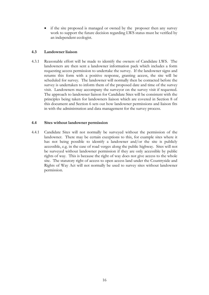if the site proposed is managed or owned by the proposer then any survey work to support the future decision regarding LWS status must be verified by an independent ecologist.

#### **4.3 Landowner liaison**

4.3.1 Reasonable effort will be made to identify the owners of Candidate LWS. The landowners are then sent a landowner information pack which includes a form requesting access permission to undertake the survey. If the landowner signs and returns this form with a positive response, granting access, the site will be scheduled for survey. The landowner will normally then be contacted before the survey is undertaken to inform them of the proposed date and time of the survey visit. Landowners may accompany the surveyor on the survey visit if requested. The approach to landowner liaison for Candidate Sites will be consistent with the principles being taken for landowners liaison which are covered in Section 8 of this document and Section 6 sets out how landowner permissions and liaison fits in with the administration and data management for the survey process.

#### **4.4 Sites without landowner permission**

4.4.1 Candidate Sites will not normally be surveyed without the permission of the landowner. There may be certain exceptions to this, for example sites where it has not being possible to identify a landowner and/or the site is publicly accessible, e.g. in the case of road verges along the public highway. Sites will not be surveyed without landowner permission if they are only accessible by public rights of way. This is because the right of way does not give access to the whole site. The statutory right of access to open access land under the Countryside and Rights of Way Act will not normally be used to survey sites without landowner permission.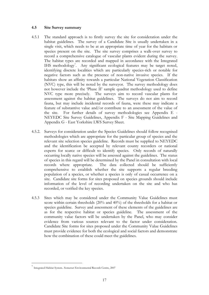#### **4.5 Site Survey summary**

- 4.5.1 The standard approach is to firstly survey the site for consideration under the habitat guidelines. The survey of a Candidate Site is usually undertaken in a single visit, which needs to be at an appropriate time of year for the habitats or species present on the site. The site survey comprises a walk-over survey to record a comprehensive catalogue of vascular plants evident during the survey. The habitat types are recorded and mapped in accordance with the Integrated IHS methodology<sup>7</sup>. Any significant ecological features may be target noted, identifying discrete localities which are particularly species-rich or notable for negative factors such as the presence of non-native invasive species. If the habitats show an affinity towards a particular National Vegetation Classification (NVC) type, this will be noted by the surveyor. The survey methodology does not however include the 'Phase II' sample quadrat methodology used to define NVC type more precisely. The surveys aim to record vascular plants for assessment against the habitat guidelines. The surveys do not aim to record fauna, but may include incidental records of fauna, were these may indicate a feature of substantive value and/or contribute to an assessment of the value of the site. For further details of survey methodologies see Appendix E - NEYEDC Site Survey Guidelines, Appendix F - Site Mapping Guidelines and Appendix G - East Yorkshire LWS Survey Sheet.
- 4.5.2. Surveys for consideration under the Species Guidelines should follow recognised methodologies which are appropriate for the particular group of species and the relevant site selection species guideline. Records must be supplied to NEYEDC and the identification be accepted by relevant county recorders or national experts for scarce or difficult to identify species. Only records of naturally occurring locally native species will be assessed against the guidelines. The status of species in this regard will be determined by the Panel in consultation with local records where appropriate. The data collected should be sufficiently comprehensive to establish whether the site supports a regular breeding population of a species, or whether a species is only of casual occurrence on a site. Candidate site forms for sites proposed on species grounds should include information of the level of recording undertaken on the site and who has recorded, or verified the key species.
- 4.5.3 Sites which may be considered under the Community Value Guidelines must score within certain thresholds (20% and 40%) of the thresholds for a habitat or species guideline. Survey and assessment of these elements of the guidelines are as for the respective habitat or species guideline. The assessment of the community value factors will be undertaken by the Panel, who may consider evidence from various sources relevant to the factor under consideration. Candidate Site forms for sites proposed under the Community Value Guidelines must provide evidence for both the ecological and social factors and demonstrate how the combination of these could meet the guidelines.

<u>.</u>

<sup>7</sup> Integrated Habitat System.. Somerset Environmental Records Centre, 2007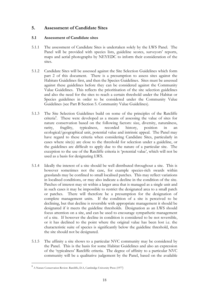## **5. Assessment of Candidate Sites**

#### **5.1 Assessment of Candidate sites**

- 5.1.1 The assessment of Candidate Sites is undertaken solely by the LWS Panel. The Panel will be provided with species lists, guideline scores, surveyors' reports, maps and aerial photographs by NEYEDC to inform their consideration of the sites.
- 5.1.2 Candidate Sites will be assessed against the Site Selection Guidelines which form part 2 of this document. There is a presumption to assess sites against the Habitats Guidelines first, and then the Species Guidelines. Sites must be assessed against these guidelines before they can be considered against the Community Value Guidelines. This reflects the prioritisation of the site selection guidelines and also the need for the sites to reach a certain threshold under the Habitat or Species guidelines in order to be considered under the Community Value Guidelines (see Part B Section 5. Community Value Guidelines).
- 5.1.3 The Site Selection Guidelines build on some of the principles of the Ratcliffe criteria<sup>8</sup>. These were developed as a means of assessing the value of sites for nature conservation based on the following factors: size, diversity, naturalness, rarity, fragility, typicalness, recorded history, position in an ecological/geographical unit, potential value and intrinsic appeal. The Panel may have regard to these criteria when considering Candidate Sites, particularly in cases where site(s) are close to the threshold for selection under a guideline, or the guidelines are difficult to apply due to the nature of a particular site. The exception to the use of the Ratcliffe criteria is 'potential value', which will not be used as a basis for designating LWS.
- 5.1.4 Ideally the interest of a site should be well distributed throughout a site. This is however sometimes not the case, for example species-rich swards within grasslands may be confined to small localised patches. This may reflect variations in localised conditions, or may also indicate a decline in the condition of the site. Patches of interest may sit within a larger area that is managed as a single unit and in such cases it may be impossible to restrict the designated area to a small patch or patches. There will therefore be a presumption for the designation of complete management units. If the condition of a site is perceived to be declining, but that decline is reversible with appropriate management it should be designated if it meets the guideline thresholds. Designation as an LWS should focus attention on a site, and can be used to encourage sympathetic management of a site. If however the decline in condition is considered to be not reversible, or it has declined to the point where the original value has been lost i.e. the characteristic suite of species is significantly below the guideline threshold, then the site should not be designated.
- 5.1.5 The affinity a site shows to a particular NVC community may be considered by the Panel. This is the basis for some Habitat Guidelines and also an expression of the 'typicalness' Ratcliffe criteria. The degree of affinity to a particular NVC community will be a qualitative judgement by the Panel, based on the available

<u>.</u>

<sup>8</sup> A Nature Conservation Review. Ratcliffe, D.A, Cambridge University Press (1977)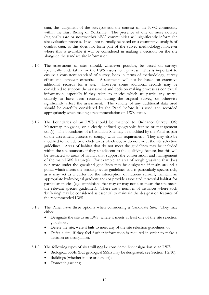data, the judgement of the surveyor and the context of the NVC community within the East Riding of Yorkshire. The presence of one or more notable (regionally rare or noteworthy) NVC communities will significantly inform the site evaluation process. It will not normally be based on a quantitative analysis of quadrat data, as this does not form part of the survey methodology, however where this is available it will be considered in making a decision on the site alongside the standard site information.

- 5.1.6 The assessment of sites should, whenever possible, be based on surveys specifically undertaken for the LWS assessment process. This is important to ensure a consistent standard of survey, both in terms of methodology, survey effort and surveyor expertise. Assessments will not be based on extensive additional records for a site. However some additional records may be considered to support the assessment and decision making process as contextual information, especially if they relate to species which are particularly scarce, unlikely to have been recorded during the original survey, or otherwise significantly affect the assessment. The validity of any additional data used should be carefully considered by the Panel before it is used and recorded appropriately when making a recommendation on LWS status.
- 5.1.7 The boundaries of an LWS should be matched to Ordnance Survey (OS) Mastermap polygons, or a clearly defined geographic feature or management unit(s). The boundaries of a Candidate Site may be modified by the Panel as part of the assessment process to comply with this requirement. They may also be modified to include or exclude areas which do, or do not, meet the site selection guidelines. Areas of habitat that do not meet the guidelines may be included within the site boundary if they sit adjacent to the qualifying feature, but this will be restricted to areas of habitat that support the conservation and management of the main LWS feature(s). For example, an area of rough grassland that does not score under the grassland guidelines may be designated if it sits around a pond, which meets the standing water guidelines and is particularly species rich, as it may act as a buffer for the interception of nutrient run-off, maintain an appropriate hydrological gradient and/or provide associated terrestrial habitat for particular species (e.g. amphibians that may or may not also mean the site meets the relevant species guidelines). There are a number of instances where such 'buffering' may be considered as essential to maintain the designation features of the recommended LWS.
- 5.1.8 The Panel have three options when considering a Candidate Site. They may either:
	- Designate the site as an LWS, where it meets at least one of the site selection guidelines;
	- Delete the site, were it fails to meet any of the site selection guidelines; or
	- Defer a site, if they feel further information is required in order to make a decision on designation.
- 5.1.8 The following types of sites will **not** be considered for designation as an LWS:
	- Biological SSSIs (But geological SSSIs may be designated, see Section 1.2.10);
	- Buildings (whether in use or derelict);
	- Domestic gardens;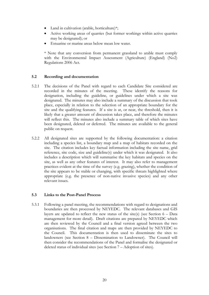- Land in cultivation (arable, horticulture)\*;
- Active working areas of quarries (but former workings within active quarries may be designated); or
- Estuarine or marine areas below mean low water.

\* Note that any conversion from permanent grassland to arable must comply with the Environmental Impact Assessment (Agriculture) (England) (No2) Regulations 2006 Act.

#### **5.2 Recording and documentation**

- 5.2.1 The decisions of the Panel with regard to each Candidate Site considered are recorded in the minutes of the meeting. These identify the reasons for designation, including the guideline, or guidelines under which a site was designated. The minutes may also include a summary of the discussion that took place, especially in relation to the selection of an appropriate boundary for the site and the qualifying features. If a site is at, or near, the threshold, then it is likely that a greater amount of discussion takes place, and therefore the minutes will reflect this. The minutes also include a summary table of which sites have been designated, deleted or deferred. The minutes are available to the general public on request.
- 5.2.2 All designated sites are supported by the following documentation: a citation including a species list, a boundary map and a map of habitats recorded on the site. The citation includes key factual information including the site name, grid reference, site code, size and guideline(s) under which it was designated. It also includes a description which will summarise the key habitats and species on the site, as well as any other features of interest. It may also refer to management practices evident at the time of the survey (e.g. grazing), whether the condition of the site appears to be stable or changing, with specific threats highlighted where appropriate (e.g. the presence of non-native invasive species) and any other relevant issues.

#### **5.3 Links to the Post-Panel Process**

5.3.1 Following a panel meeting, the recommendations with regard to designations and boundaries are then processed by NEYEDC. The relevant databases and GIS layers are updated to reflect the new status of the site(s) (see Section  $6 - Data$ management for more detail). Draft citations are prepared by NEYEDC which are then reviewed by the Council and a final version agreed between the two organisations. The final citation and maps are then provided by NEYEDC to the Council. This documentation is then used to disseminate the sites to landowners (see Section 8 – Dissemination to Landowner). The Council will then consider the recommendations of the Panel and formalise the designated or deleted status of individual sites (see Section 7 – Adoption of sites).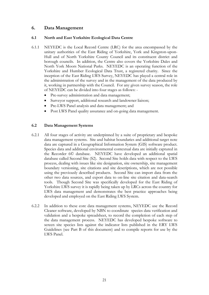## **6. Data Management**

#### **6.1 North and East Yorkshire Ecological Data Centre**

- 6.1.1 NEYEDC is the Local Record Centre (LRC) for the area encompassed by the unitary authorities of the East Riding of Yorkshire, York and Kingston-upon-Hull and of North Yorkshire County Council and its constituent district and borough councils. In addition, the Centre also covers the Yorkshire Dales and North York Moors National Parks. NEYEDC is an operating function of the Yorkshire and Humber Ecological Data Trust, a registered charity. Since the inception of the East Riding LWS Survey, NEYEDC has played a central role in the administration of the survey and in the management of the data produced by it, working in partnership with the Council. For any given survey season, the role of NEYEDC can be divided into four stages as follows: -
	- Pre-survey administration and data management;
	- Surveyor support, additional research and landowner liaison;
	- Pre-LWS Panel analysis and data management; and
	- Post LWS Panel quality assurance and on-going data management.

#### **6.2 Data Management Systems**

- 6.2.1 All four stages of activity are underpinned by a suite of proprietary and bespoke data management systems. Site and habitat boundaries and additional target note data are captured in a Geographical Information System (GIS) software product. Species data and additional environmental contextual data are initially captured in the Recorder 6© database. NEYEDC have developed an additional spatial database called Second Site (S2). Second Site holds data with respect to the LWS process, dealing with issues like site designation, site ownership, site management boundary versioning, site citations and site descriptions, which are not possible using the previously described products. Second Site can import data from the other two data sources, and export data to on-line site citation and data-search tools. Though Second Site was specifically developed for the East Riding of Yorkshire LWS survey it is rapidly being taken up by LRCs across the country for LWS data management and demonstrates the best practice approaches being developed and employed on the East Riding LWS System.
- 6.2.2 In addition to these core data management systems, NEYEDC use the Record Cleaner software, developed by NBN to coordinate species data verification and validation and a bespoke spreadsheet, to record the completion of each step of the data management process. NEYEDC has developed bespoke software to screen site species lists against the indicator lists published in the ERY LWS Guidelines (see Part B of this document) and to compile reports for use by the LWS Panel.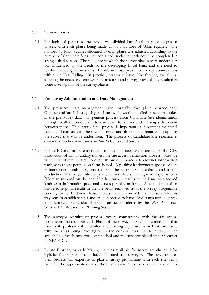#### **6.3 Survey Phases**

6.3.1 For logistical purposes, the survey was divided into 5 arbitrary campaigns or phases, with each phase being made up of a number of 10km squares. The number of 10km squares allocated to each phase was adjusted according to the number of Candidate Sites they contained, such that each could be completed in a single field season. The sequence in which the survey phases were undertaken was influenced by the needs of the developing Local Plan, and the need to resolve the designation status of LWS in close proximity to key conurbations within the East Riding. In practice, pragmatic issues like funding availability, securing the necessary landowner permissions and surveyor availability resulted in some over-lapping of the survey phases.

#### **6.4 Pre-survey Administration and Data Management**

- 6.4.1 The pre-survey data management stage normally takes place between early October and late February. Figure 1 below shows the detailed process that takes in the pre-survey data management process from Candidate Site identification through to allocation of a site to a surveyor for survey and the stages that occur between these. This stage of the process is important as it contains the initial liaison and contact with the site landowner and also sets the remit and scope for the survey that will be undertaken. The process of Candidate Site selection is covered in Section 4 – Candidate Site Selection and Survey.
- 6.4.2 For each Candidate Site identified, a draft site boundary is created in the GIS. Production of this boundary triggers the site access permission process. Sites are visited by NEYEDC staff to establish ownership and a landowner information pack, with access permission form, issued. A positive landowner response results in landowner details being entered into the Second Site database, and to the production of surveyor site maps and survey sheets. A negative response or a failure to respond on the part of a landowner, results in the issue of a second landowner information pack and access permission form. A second refusal or failure to respond results in the site being removed from the survey programme pending further landowner liaison. Sites that are removed from the survey in this way remain candidate sites and are considered to have LWS status until a survey is undertaken, the results of which can be considered by the LWS Panel (see Section 1.7 LWS and the Planning System).
- 6.4.3 The surveyor recruitment process occurs concurrently with the site access permission process. For each Phase of the survey, surveyors are identified that have both professional credibility and existing expertise, or at least familiarity with the areas being investigated in the current Phase of the survey. The availability of each surveyor is established and the surveyor placed under contract to NEYEDC.
- 6.4.4 In late February or early March, the sites available for survey are clustered for logistic efficiency and each cluster allocated to a surveyor. The surveyor uses their professional expertise to plan a survey programme with each site being visited at the appropriate stage of the field season. Surveyors contact landowners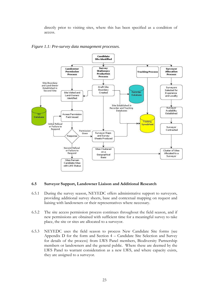directly prior to visiting sites, where this has been specified as a condition of access.





#### **6.5 Surveyor Support, Landowner Liaison and Additional Research**

- 6.5.1 During the survey season, NEYEDC offers administrative support to surveyors, providing additional survey sheets, base and contextual mapping on request and liaising with landowners or their representatives where necessary.
- 6.5.2 The site access permission process continues throughout the field season, and if new permissions are obtained with sufficient time for a meaningful survey to take place, the site or sites are allocated to a surveyor.
- 6.5.3 NEYEDC uses the field season to process New Candidate Site forms (see Appendix D for the form and Section 4 – Candidate Site Selection and Survey for details of the process) from LWS Panel members, Biodiversity Partnership members or landowners and the general public. Where these are deemed by the LWS Panel to warrant consideration as a new LWS, and where capacity exists, they are assigned to a surveyor.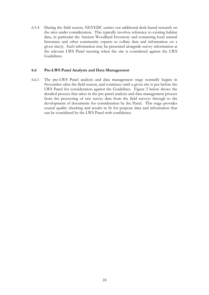6.5.4 During the field season, NEYEDC carries out additional desk-based research on the sites under consideration. This typically involves reference to existing habitat data, in particular the Ancient Woodland Inventory and contacting local natural historians and other community experts to collate data and information on a given site(s). Such information may be presented alongside survey information at the relevant LWS Panel meeting when the site is considered against the LWS Guidelines.

#### **6.6 Pre-LWS Panel Analysis and Data Management**

6.6.1 The pre-LWS Panel analysis and data management stage normally begins in November after the field season, and continues until a given site is put before the LWS Panel for consideration against the Guidelines. Figure 2 below shows the detailed process that takes in the pre-panel analysis and data management process from the processing of raw survey data from the field surveys through to the development of documents for consideration by the Panel. This stage provides crucial quality checking and results in fit for purpose data and information that can be considered by the LWS Panel with confidence.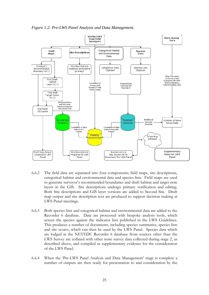*Figure 1.2: Pre-LWS Panel Analysis and Data Management.*



- 6.6.2 The field data are separated into four components; field maps, site descriptions, categorical habitat and environmental data and species lists. Field maps are used to generate surveyor's recommended boundaries and draft habitat and target note layers in the GIS. Site descriptions undergo primary verification and editing. Both Site descriptions and GIS layer versions are added to Second Site. Draft map output and site description text are produced to support decision making at LWS Panel meetings.
- 6.6.3 Both species lists and categorical habitat and environmental data are added to the Recorder 6 database. Data are processed with bespoke analysis tools, which screen the species against the indicator lists published in the LWS Guidelines. This produces a number of documents, including species summaries, species lists and site scores, which can then be used by the LWS Panel. Species data which are lodged in the NEYEDC Recorder 6 database from sources other than the LWS Survey are collated with other none survey data collected during stage 2, as described above, and compiled as supplementary evidence for the consideration of the LWS Panel.
- 6.6.4 When the 'Pre-LWS Panel Analysis and Data Management' stage is complete a number of outputs are then ready for presentation to and consideration by the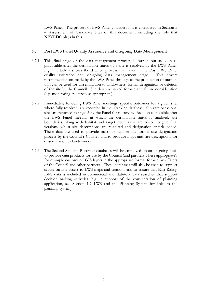LWS Panel. The process of LWS Panel consideration is considered in Section 5 – Assessment of Candidate Sites of this document, including the role that NEYEDC plays in this.

#### **6.7 Post LWS Panel Quality Assurance and On-going Data Management**

- 6.7.1 This final stage of the data management process is carried out as soon as practicable after the designation status of a site is resolved by the LWS Panel. Figure 3 below shows the detailed process that takes in the Post LWS Panel quality assurance and on-going data management stage. This covers recommendations made by the LWS Panel through to the production of outputs that can be used for dissemination to landowners, formal designation or deletion of the site by the Council. Site data are stored for use and future consideration (e.g. monitoring, re-survey as appropriate).
- 6.7.2 Immediately following LWS Panel meetings, specific outcomes for a given site, where fully resolved, are recorded in the Tracking database. On rare occasions, sites are returned to stage 3 by the Panel for re-survey. As soon as possible after the LWS Panel meeting at which the designation status is finalised, site boundaries, along with habitat and target note layers are edited to give final versions, whilst site descriptions are re-edited and designation criteria added. These data are used to provide maps to support the formal site designation process by the Council's Cabinet, and to produce maps and site descriptions for dissemination to landowners.
- 6.7.3 The Second Site and Recorder databases will be employed on an on-going basis to provide data products for use by the Council (and partners where appropriate), for example customised GIS layers in the appropriate format for use by officers of the Council and other partners. These databases will also be used to support secure on-line access to LWS maps and citations and to ensure that East Riding LWS data is included in commercial and statutory data searches that support decision making activities (e.g. in support of the consideration of planning application, see Section 1.7 LWS and the Planning System for links to the planning system).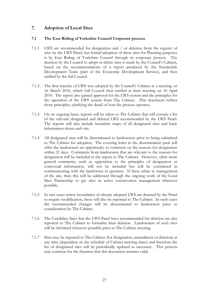# **7. Adoption of Local Sites**

#### **7.1 The East Riding of Yorkshire Council Corporate process**

- 7.1.1 LWS are recommended for designation and / or deletion from the register of sites by the LWS Panel, but formal adoption of these sites for Planning purposes is by East Riding of Yorkshire Council through its corporate process. The decision by the Council to adopt or delete sites is made by the Council's Cabinet, based on the recommendations of a report produced by the Sustainable Development Team (part of the Economic Development Service), and then ratified by the full Council.
- 7.1.2 The first tranche of LWS was adopted by the Council's Cabinet at a meeting on 16 March 2010, which full Council then ratified at their meeting on 16 April 2010. The report also gained approval for the LWS system and the principles for the operation of the LWS system from The Cabinet. This document refines those principles, clarifying the detail of how the process operates.
- 7.1.3 On an ongoing basis, reports will be taken to The Cabinet that will contain a list of the relevant designated and deleted LWS recommended by the LWS Panel. The reports will also include boundary maps of all designated sites and basic information about each site.
- 7.1.4 All designated sites will be disseminated to landowners prior to being submitted to The Cabinet for adoption. The covering letter in the dissemination pack will offer the landowners an opportunity to comment on the reasons for designation within 21 days. Comments from landowners that are relevant to the reasons for designation will be included in the report to The Cabinet. However, other more general comments, such as opposition to the principles of designation or contextual information, will not be included but will be considered in communicating with the landowner in question. If these relate to management of the site, then this will be addressed through the ongoing work of the Local Sites Partnership to get sites in active conservation management wherever possible.
- 7.1.5 In rare cases where boundaries of already adopted LWS are deemed by the Panel to require modification, these will also be reported to The Cabinet. In such cases the recommended changes will be disseminated to landowners prior to consideration by The Cabinet.
- 7.1.6 The Candidate Sites that the LWS Panel have recommended for deletion are also reported to The Cabinet to formalise their deletion. Landowners of such sites will be informed wherever possible prior to The Cabinet meeting.
- 7.1.7 Sites may be reported to The Cabinet (for designation, amendment or deletion) at any time (dependent on the schedule of Cabinet meeting dates) and therefore the list of designated sites will be periodically updated as necessary. This process may continue for the duration that this document remains valid.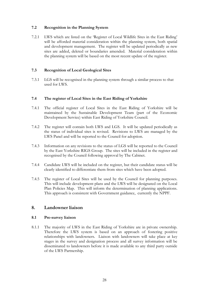#### **7.2 Recognition in the Planning System**

7.2.1 LWS which are listed on the 'Register of Local Wildlife Sites in the East Riding' will be afforded material consideration within the planning system, both spatial and development management. The register will be updated periodically as new sites are added, deleted or boundaries amended. Material consideration within the planning system will be based on the most recent update of the register.

#### **7.3 Recognition of Local Geological Sites**

7.3.1 LGS will be recognised in the planning system through a similar process to that used for LWS.

#### **7.4 The register of Local Sites in the East Riding of Yorkshire**

- 7.4.1 The official register of Local Sites in the East Riding of Yorkshire will be maintained by the Sustainable Development Team (part of the Economic Development Service) within East Riding of Yorkshire Council.
- 7.4.2 The register will contain both LWS and LGS. It will be updated periodically as the status of individual sites is revised. Revisions to LWS are managed by the LWS Panel and will be reported to the Council for adoption.
- 7.4.3 Information on any revisions to the status of LGS will be reported to the Council by the East Yorkshire RIGS Group. The sites will be included in the register and recognised by the Council following approval by The Cabinet.
- 7.4.4 Candidate LWS will be included on the register, but their candidate status will be clearly identified to differentiate them from sites which have been adopted.
- 7.4.5 The register of Local Sites will be used by the Council for planning purposes. This will include development plans and the LWS will be designated on the Local Plan Policies Map. This will inform the determination of planning applications. This approach is consistent with Government guidance, currently the NPPF.

#### **8. Landowner liaison**

#### **8.1 Pre-survey liaison**

8.1.1 The majority of LWS in the East Riding of Yorkshire are in private ownership. Therefore the LWS system is based on an approach of fostering positive relationships with landowners. Liaison with landowners will take place at key stages in the survey and designation process and all survey information will be disseminated to landowners before it is made available to any third party outside of the LWS Partnership.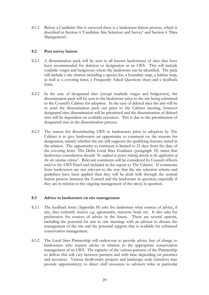8.1.2 Before a Candidate Site is surveyed there is a landowner liaison process, which is described in Section 4 'Candidate Site Selection and Survey' and Section 6 'Data Management'.

#### **8.2 Post survey liaison**

- 8.2.1 A dissemination pack will be sent to all known landowners of sites that have been recommended for deletion or designation as an LWS. This will include roadside verges and hedgerows where the landowner can be identified. The pack will include a site citation including a species list, a boundary map, a habitat map, as well as a covering letter, a Frequently Asked Questions sheet and a feedback form.
- 8.2.2 In the case of designated sites (except roadside verges and hedgerows), the dissemination pack will be sent to the landowner prior to the site being submitted to the Council's Cabinet for adoption. In the case of deleted sites the aim will be to send the dissemination pack out prior to the Cabinet meeting, however designated sites dissemination will be prioritised and the dissemination of deleted sites will be dependent on available resources. This is due to the prioritisation of designated sites in the dissemination process.
- 8.2.3 The reason for disseminating LWS to landowners prior to adoption by The Cabinet is to give landowners an opportunity to comment on the reasons for designation, namely whether the site still supports the qualifying features stated in the citation. The opportunity to comment is limited to 21 days from the date of the covering letter. The Defra Local Sites Guidance (paragraph 35) states that landowner consultation should *"be confined to factors relating directly to the application of the site selection criteria".* Relevant comments will be considered by Council officers and/or the LWS Panel and included in the report to The Cabinet. If comments from landowners are not relevant to the way that the site selection criteria and guidelines have been applied then they will be dealt with through the normal liaison process between the Council and the landowner in question, especially if they are in relation to the ongoing management of the site(s) in question.

#### **8.3 Advice to landowners on site management**

- 8.3.1 The feedback form (Appendix H) asks the landowner what sources of advice, if any, they currently receive e.g. agronomist, statutory body etc. It also asks for preferences for sources of advice in the future. There are several options, including the potential for one to one meetings with an advisor to discuss the management of the site and the potential support that is available for enhanced conservation management.
- 8.3.2 The Local Sites Partnership will endeavour to provide advice free of charge to landowners who request advice in relation to the appropriate conservation management of an LWS. The capacity of the various partners of the Partnership to deliver this will vary between partners and with time depending on priorities and resources. Various biodiversity projects and landscape scale initiatives may provide opportunity(s) to direct staff resources to advisory roles in particular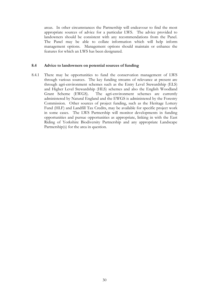areas. In other circumstances the Partnership will endeavour to find the most appropriate sources of advice for a particular LWS. The advice provided to landowners should be consistent with any recommendations from the Panel. The Panel may be able to collate information which will help inform management options. Management options should maintain or enhance the features for which an LWS has been designated.

#### **8.4 Advice to landowners on potential sources of funding**

8.4.1 There may be opportunities to fund the conservation management of LWS through various sources. The key funding streams of relevance at present are through agri-environment schemes such as the Entry Level Stewardship (ELS) and Higher Level Stewardship (HLS) schemes and also the English Woodland Grant Scheme (EWGS). The agri-environment schemes are currently administered by Natural England and the EWGS is administered by the Forestry Commission. Other sources of project funding, such as the Heritage Lottery Fund (HLF) and Landfill Tax Credits, may be available for specific project work in some cases. The LWS Partnership will monitor developments in funding opportunities and pursue opportunities as appropriate, linking in with the East Riding of Yorkshire Biodiversity Partnership and any appropriate Landscape Partnership(s) for the area in question.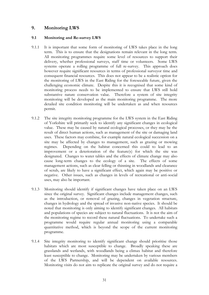## **9. Monitoring LWS**

#### **9.1 Monitoring and Re-survey LWS**

- 9.1.1 It is important that some form of monitoring of LWS takes place in the long term. This is to ensure that the designations remain relevant in the long term. All monitoring programmes require some level of resources to support their delivery, whether professional surveys, staff time or volunteers. Some LWS systems operate a rolling programme of full re-survey. This approach does however require significant resources in terms of professional surveyor time and consequent financial resources. This does not appear to be a realistic option for the monitoring of LWS in the East Riding for the foreseeable future, given the challenging economic climate. Despite this it is recognised that some kind of monitoring process needs to be implemented to ensure that LWS still hold substantive nature conservation value. Therefore a system of site integrity monitoring will be developed as the main monitoring programme. The more detailed site condition monitoring will be undertaken as and when resources permit.
- 9.1.2 The site integrity monitoring programme for the LWS system in the East Riding of Yorkshire will primarily seek to identify any significant changes in ecological value. These may be caused by natural ecological processes, or they may be the result of direct human actions, such as management of the site or damaging land uses. These factors may combine, for example natural ecological succession on a site may be affected by changes to management, such as grazing or mowing regimes. Depending on the habitat concerned this could to lead to an improvement or a deterioration of the feature(s) for which the site was designated. Changes to water tables and the effects of climate change may also cause long-term changes to the ecology of a site. The effects of some management actions, such as clear felling or thinning in woodlands and clearance of scrub, are likely to have a significant effect, which again may be positive or negative. Other issues, such as changes in levels of recreational or anti-social uses, may also be important.
- 9.1.3 Monitoring should identify if significant changes have taken place on an LWS since the original survey. Significant changes include management changes, such as the introduction, or removal of grazing, changes in vegetation structure, changes in hydrology and the spread of invasive non-native species. It should be noted that monitoring is only aiming to identify significant changes. All habitats and populations of species are subject to natural fluctuations. It is not the aim of the monitoring regime to record these natural fluctuations. To undertake such a programme would require regular annual monitoring using a comparable quantitative method, which is beyond the scope of the current monitoring programme.
- 9.1.4 Site integrity monitoring to identify significant change should prioritise those habitats which are most susceptible to change. Broadly speaking these are grasslands and wetlands, with woodlands being a climax habitat and therefore least susceptible to change. Monitoring may be undertaken by various members of the LWS Partnership, and will be dependent on available resources. Monitoring visits do not aim to replicate the original survey and do not require a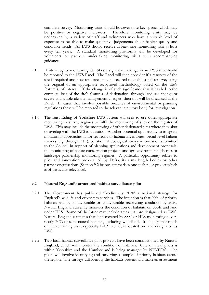complete survey. Monitoring visits should however note key species which may be positive or negative indicators. Therefore monitoring visits may be undertaken by a variety of staff and volunteers who have a suitable level of expertise to be able to make qualitative judgements about habitat quality and condition trends. All LWS should receive at least one monitoring visit at least every ten years. A standard monitoring pro-forma will be developed for volunteers or partners undertaking monitoring visits with accompanying guidance.

- 9.1.5 If site integrity monitoring identifies a significant change in an LWS this should be reported to the LWS Panel. The Panel will then consider if a resurvey of the site is required and how resources may be secured to enable a full resurvey using the original or an appropriate recognised methodology based on the site's feature(s) of interest. If the change is of such significance that it has led to the complete loss of the site's features of designation, through land-use change or severe and wholesale site management changes, then this will be discussed at the Panel. In cases that involve possible breaches of environmental or planning regulations these will be reported to the relevant statutory body for investigation.
- 9.1.6 The East Riding of Yorkshire LWS System will seek to use other appropriate monitoring or survey regimes to fulfil the monitoring of sites on the register of LWS. This may include the monitoring of other designated sites where they abut or overlap with the LWS in question. Another potential opportunity to integrate monitoring approaches is for revisions to habitat inventories, broad level habitat surveys (e.g. through API), collation of ecological survey information submitted to the Council in support of planning applications and development proposals, the monitoring of nature conservation projects and agri-environment schemes or landscape partnership monitoring regimes. A particular opportunity relates to pilot and innovation projects led by Defra, its arms length bodies or other partner organisations (Section 9.2 below summarises one such pilot project which is of particular relevance).

#### **9.2 Natural England's structured habitat surveillance pilot**

- 9.2.1 The Government has published 'Biodiversity 2020' a national strategy for England's wildlife and ecosystem services. The intention is that 90% of priority habitats will be in favourable or unfavourable recovering condition by 2020. Natural England currently monitors the condition of habitats on SSSIs and land under HLS. Some of the latter may include areas that are designated as LWS. Natural England estimates that land covered by SSSI or HLS monitoring covers nearly 70% of semi-natural habitats, excluding woodland. It is likely that much of the remaining area, especially BAP habitat, is located on land designated as LWS.
- 9.2.2 Two local habitat surveillance pilot projects have been commissioned by Natural England, which will monitor the condition of habitats. One of these pilots is within Yorkshire and the Humber and is being managed by NEYEDC. The pilots will involve identifying and surveying a sample of priority habitats across the region. The surveys will identify the habitats present and make an assessment